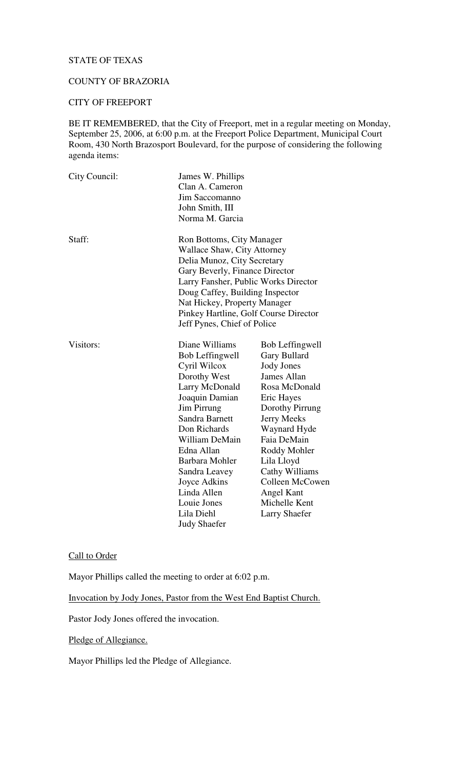## STATE OF TEXAS

## COUNTY OF BRAZORIA

#### CITY OF FREEPORT

BE IT REMEMBERED, that the City of Freeport, met in a regular meeting on Monday, September 25, 2006, at 6:00 p.m. at the Freeport Police Department, Municipal Court Room, 430 North Brazosport Boulevard, for the purpose of considering the following agenda items:

| City Council: | James W. Phillips                     |                   |  |
|---------------|---------------------------------------|-------------------|--|
|               | Clan A. Cameron                       |                   |  |
|               | Jim Saccomanno                        |                   |  |
|               | John Smith, III                       |                   |  |
|               | Norma M. Garcia                       |                   |  |
| Staff:        | Ron Bottoms, City Manager             |                   |  |
|               | Wallace Shaw, City Attorney           |                   |  |
|               | Delia Munoz, City Secretary           |                   |  |
|               | Gary Beverly, Finance Director        |                   |  |
|               | Larry Fansher, Public Works Director  |                   |  |
|               | Doug Caffey, Building Inspector       |                   |  |
|               | Nat Hickey, Property Manager          |                   |  |
|               | Pinkey Hartline, Golf Course Director |                   |  |
|               | Jeff Pynes, Chief of Police           |                   |  |
| Visitors:     | Diane Williams                        | Bob Leffingwell   |  |
|               | Bob Leffingwell                       | Gary Bullard      |  |
|               | Cyril Wilcox                          | <b>Jody Jones</b> |  |
|               | Dorothy West                          | James Allan       |  |
|               | Larry McDonald                        | Rosa McDonald     |  |
|               | Joaquin Damian                        | Eric Hayes        |  |
|               | Jim Pirrung                           | Dorothy Pirrung   |  |
|               | Sandra Barnett                        | Jerry Meeks       |  |
|               | Don Richards                          | Waynard Hyde      |  |
|               | William DeMain                        | Faia DeMain       |  |
|               | Edna Allan                            | Roddy Mohler      |  |
|               | Barbara Mohler                        | Lila Lloyd        |  |
|               | Sandra Leavey                         | Cathy Williams    |  |
|               | Joyce Adkins                          | Colleen McCowen   |  |
|               | Linda Allen                           | Angel Kant        |  |
|               | Louie Jones                           | Michelle Kent     |  |
|               | Lila Diehl                            | Larry Shaefer     |  |
|               | <b>Judy Shaefer</b>                   |                   |  |

# Call to Order

Mayor Phillips called the meeting to order at 6:02 p.m.

Invocation by Jody Jones, Pastor from the West End Baptist Church.

Pastor Jody Jones offered the invocation.

Pledge of Allegiance.

Mayor Phillips led the Pledge of Allegiance.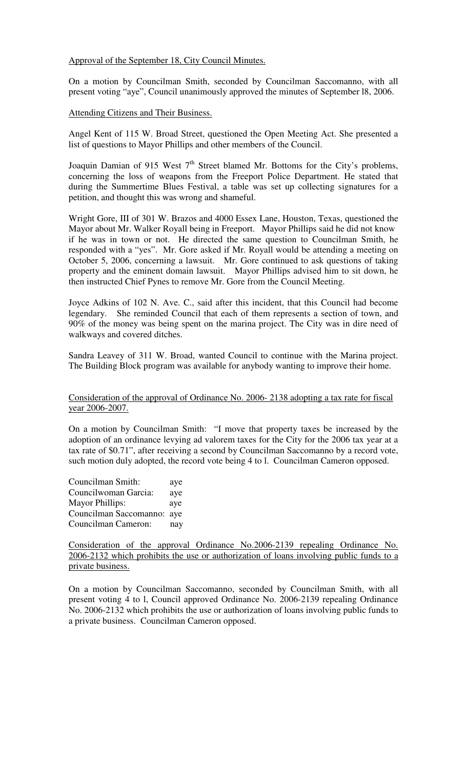Approval of the September 18, City Council Minutes.

On a motion by Councilman Smith, seconded by Councilman Saccomanno, with all present voting "aye", Council unanimously approved the minutes of September l8, 2006.

Attending Citizens and Their Business.

Angel Kent of 115 W. Broad Street, questioned the Open Meeting Act. She presented a list of questions to Mayor Phillips and other members of the Council.

Joaquin Damian of 915 West  $7<sup>th</sup>$  Street blamed Mr. Bottoms for the City's problems, concerning the loss of weapons from the Freeport Police Department. He stated that during the Summertime Blues Festival, a table was set up collecting signatures for a petition, and thought this was wrong and shameful.

Wright Gore, III of 301 W. Brazos and 4000 Essex Lane, Houston, Texas, questioned the Mayor about Mr. Walker Royall being in Freeport. Mayor Phillips said he did not know if he was in town or not. He directed the same question to Councilman Smith, he responded with a "yes". Mr. Gore asked if Mr. Royall would be attending a meeting on October 5, 2006, concerning a lawsuit. Mr. Gore continued to ask questions of taking property and the eminent domain lawsuit. Mayor Phillips advised him to sit down, he then instructed Chief Pynes to remove Mr. Gore from the Council Meeting.

Joyce Adkins of 102 N. Ave. C., said after this incident, that this Council had become legendary. She reminded Council that each of them represents a section of town, and 90% of the money was being spent on the marina project. The City was in dire need of walkways and covered ditches.

Sandra Leavey of 311 W. Broad, wanted Council to continue with the Marina project. The Building Block program was available for anybody wanting to improve their home.

#### Consideration of the approval of Ordinance No. 2006- 2138 adopting a tax rate for fiscal year 2006-2007.

On a motion by Councilman Smith: "I move that property taxes be increased by the adoption of an ordinance levying ad valorem taxes for the City for the 2006 tax year at a tax rate of \$0.71", after receiving a second by Councilman Saccomanno by a record vote, such motion duly adopted, the record vote being 4 to l. Councilman Cameron opposed.

| Councilman Smith:          | aye |
|----------------------------|-----|
| Councilwoman Garcia:       | aye |
| <b>Mayor Phillips:</b>     | aye |
| Councilman Saccomanno: aye |     |
| Councilman Cameron:        | nay |

Consideration of the approval Ordinance No.2006-2139 repealing Ordinance No. 2006-2132 which prohibits the use or authorization of loans involving public funds to a private business.

On a motion by Councilman Saccomanno, seconded by Councilman Smith, with all present voting 4 to l, Council approved Ordinance No. 2006-2139 repealing Ordinance No. 2006-2132 which prohibits the use or authorization of loans involving public funds to a private business. Councilman Cameron opposed.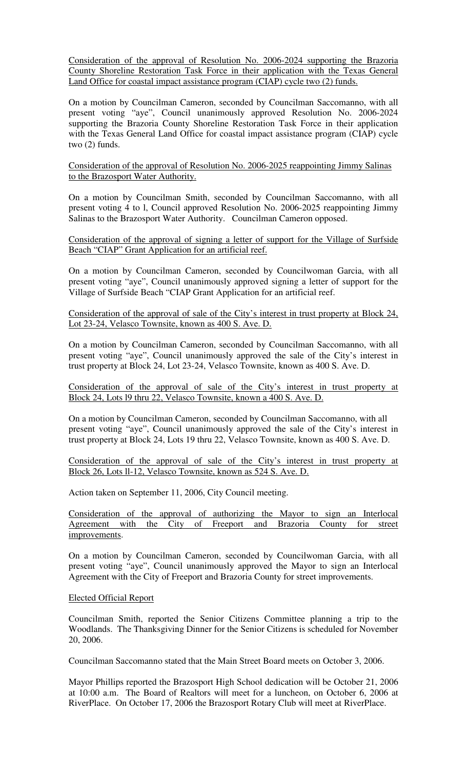Consideration of the approval of Resolution No. 2006-2024 supporting the Brazoria County Shoreline Restoration Task Force in their application with the Texas General Land Office for coastal impact assistance program (CIAP) cycle two (2) funds.

On a motion by Councilman Cameron, seconded by Councilman Saccomanno, with all present voting "aye", Council unanimously approved Resolution No. 2006-2024 supporting the Brazoria County Shoreline Restoration Task Force in their application with the Texas General Land Office for coastal impact assistance program (CIAP) cycle two (2) funds.

Consideration of the approval of Resolution No. 2006-2025 reappointing Jimmy Salinas to the Brazosport Water Authority.

On a motion by Councilman Smith, seconded by Councilman Saccomanno, with all present voting 4 to l, Council approved Resolution No. 2006-2025 reappointing Jimmy Salinas to the Brazosport Water Authority. Councilman Cameron opposed.

Consideration of the approval of signing a letter of support for the Village of Surfside Beach "CIAP" Grant Application for an artificial reef.

On a motion by Councilman Cameron, seconded by Councilwoman Garcia, with all present voting "aye", Council unanimously approved signing a letter of support for the Village of Surfside Beach "CIAP Grant Application for an artificial reef.

Consideration of the approval of sale of the City's interest in trust property at Block 24, Lot 23-24, Velasco Townsite, known as 400 S. Ave. D.

On a motion by Councilman Cameron, seconded by Councilman Saccomanno, with all present voting "aye", Council unanimously approved the sale of the City's interest in trust property at Block 24, Lot 23-24, Velasco Townsite, known as 400 S. Ave. D.

Consideration of the approval of sale of the City's interest in trust property at Block 24, Lots l9 thru 22, Velasco Townsite, known a 400 S. Ave. D.

On a motion by Councilman Cameron, seconded by Councilman Saccomanno, with all present voting "aye", Council unanimously approved the sale of the City's interest in trust property at Block 24, Lots 19 thru 22, Velasco Townsite, known as 400 S. Ave. D.

Consideration of the approval of sale of the City's interest in trust property at Block 26, Lots ll-12, Velasco Townsite, known as 524 S. Ave. D.

Action taken on September 11, 2006, City Council meeting.

Consideration of the approval of authorizing the Mayor to sign an Interlocal Agreement with the City of Freeport and Brazoria County for street improvements.

On a motion by Councilman Cameron, seconded by Councilwoman Garcia, with all present voting "aye", Council unanimously approved the Mayor to sign an Interlocal Agreement with the City of Freeport and Brazoria County for street improvements.

#### Elected Official Report

Councilman Smith, reported the Senior Citizens Committee planning a trip to the Woodlands. The Thanksgiving Dinner for the Senior Citizens is scheduled for November 20, 2006.

Councilman Saccomanno stated that the Main Street Board meets on October 3, 2006.

Mayor Phillips reported the Brazosport High School dedication will be October 21, 2006 at 10:00 a.m. The Board of Realtors will meet for a luncheon, on October 6, 2006 at RiverPlace. On October 17, 2006 the Brazosport Rotary Club will meet at RiverPlace.